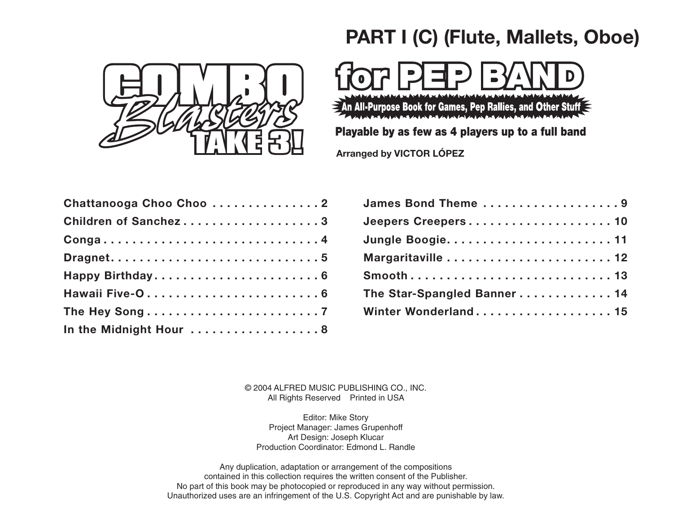

## **PART I (C) (Flute, Mallets, Oboe)**



 $\geq$  An All-Purpose Book for Games, Pep Rallies, and Other Stuff  $\leq$ 

## Playable by as few as 4 players up to a full band

**Arranged by VICTOR LÓPEZ**

| Chattanooga Choo Choo 2 | <b>James Bond Th</b>  |
|-------------------------|-----------------------|
| Children of Sanchez3    | <b>Jeepers Creepe</b> |
| Conga4                  | Jungle Boogie.        |
|                         | Margaritaville.       |
|                         | Smooth                |
|                         | The Star-Spang        |
|                         | <b>Winter Wonderl</b> |
| In the Midnight Hour  8 |                       |

| James Bond Theme 9         |
|----------------------------|
| Jeepers Creepers 10        |
|                            |
| Margaritaville  12         |
|                            |
| The Star-Spangled Banner14 |
| Winter Wonderland 15       |
|                            |

© 2004 ALFRED MUSIC PUBLISHING CO., INC. All Rights Reserved Printed in USA

Editor: Mike Story Project Manager: James Grupenhoff Art Design: Joseph Klucar Production Coordinator: Edmond L. Randle

Any duplication, adaptation or arrangement of the compositions contained in this collection requires the written consent of the Publisher. No part of this book may be photocopied or reproduced in any way without permission. Unauthorized uses are an infringement of the U.S. Copyright Act and are punishable by law.